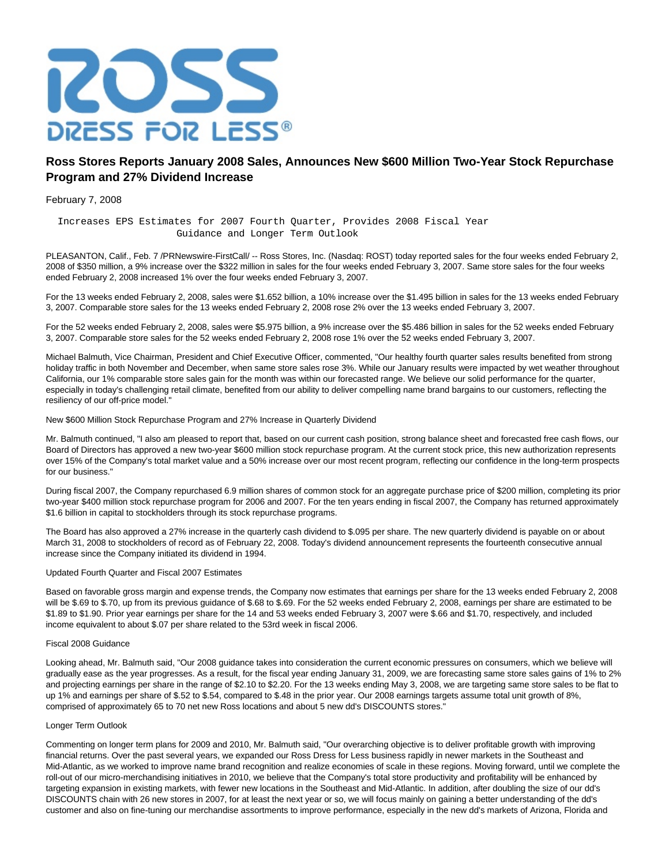

# **Ross Stores Reports January 2008 Sales, Announces New \$600 Million Two-Year Stock Repurchase Program and 27% Dividend Increase**

February 7, 2008

 Increases EPS Estimates for 2007 Fourth Quarter, Provides 2008 Fiscal Year Guidance and Longer Term Outlook

PLEASANTON, Calif., Feb. 7 /PRNewswire-FirstCall/ -- Ross Stores, Inc. (Nasdaq: ROST) today reported sales for the four weeks ended February 2, 2008 of \$350 million, a 9% increase over the \$322 million in sales for the four weeks ended February 3, 2007. Same store sales for the four weeks ended February 2, 2008 increased 1% over the four weeks ended February 3, 2007.

For the 13 weeks ended February 2, 2008, sales were \$1.652 billion, a 10% increase over the \$1.495 billion in sales for the 13 weeks ended February 3, 2007. Comparable store sales for the 13 weeks ended February 2, 2008 rose 2% over the 13 weeks ended February 3, 2007.

For the 52 weeks ended February 2, 2008, sales were \$5.975 billion, a 9% increase over the \$5.486 billion in sales for the 52 weeks ended February 3, 2007. Comparable store sales for the 52 weeks ended February 2, 2008 rose 1% over the 52 weeks ended February 3, 2007.

Michael Balmuth, Vice Chairman, President and Chief Executive Officer, commented, "Our healthy fourth quarter sales results benefited from strong holiday traffic in both November and December, when same store sales rose 3%. While our January results were impacted by wet weather throughout California, our 1% comparable store sales gain for the month was within our forecasted range. We believe our solid performance for the quarter, especially in today's challenging retail climate, benefited from our ability to deliver compelling name brand bargains to our customers, reflecting the resiliency of our off-price model."

### New \$600 Million Stock Repurchase Program and 27% Increase in Quarterly Dividend

Mr. Balmuth continued, "I also am pleased to report that, based on our current cash position, strong balance sheet and forecasted free cash flows, our Board of Directors has approved a new two-year \$600 million stock repurchase program. At the current stock price, this new authorization represents over 15% of the Company's total market value and a 50% increase over our most recent program, reflecting our confidence in the long-term prospects for our business."

During fiscal 2007, the Company repurchased 6.9 million shares of common stock for an aggregate purchase price of \$200 million, completing its prior two-year \$400 million stock repurchase program for 2006 and 2007. For the ten years ending in fiscal 2007, the Company has returned approximately \$1.6 billion in capital to stockholders through its stock repurchase programs.

The Board has also approved a 27% increase in the quarterly cash dividend to \$.095 per share. The new quarterly dividend is payable on or about March 31, 2008 to stockholders of record as of February 22, 2008. Today's dividend announcement represents the fourteenth consecutive annual increase since the Company initiated its dividend in 1994.

#### Updated Fourth Quarter and Fiscal 2007 Estimates

Based on favorable gross margin and expense trends, the Company now estimates that earnings per share for the 13 weeks ended February 2, 2008 will be \$.69 to \$.70, up from its previous guidance of \$.68 to \$.69. For the 52 weeks ended February 2, 2008, earnings per share are estimated to be \$1.89 to \$1.90. Prior year earnings per share for the 14 and 53 weeks ended February 3, 2007 were \$.66 and \$1.70, respectively, and included income equivalent to about \$.07 per share related to the 53rd week in fiscal 2006.

## Fiscal 2008 Guidance

Looking ahead, Mr. Balmuth said, "Our 2008 guidance takes into consideration the current economic pressures on consumers, which we believe will gradually ease as the year progresses. As a result, for the fiscal year ending January 31, 2009, we are forecasting same store sales gains of 1% to 2% and projecting earnings per share in the range of \$2.10 to \$2.20. For the 13 weeks ending May 3, 2008, we are targeting same store sales to be flat to up 1% and earnings per share of \$.52 to \$.54, compared to \$.48 in the prior year. Our 2008 earnings targets assume total unit growth of 8%, comprised of approximately 65 to 70 net new Ross locations and about 5 new dd's DISCOUNTS stores."

#### Longer Term Outlook

Commenting on longer term plans for 2009 and 2010, Mr. Balmuth said, "Our overarching objective is to deliver profitable growth with improving financial returns. Over the past several years, we expanded our Ross Dress for Less business rapidly in newer markets in the Southeast and Mid-Atlantic, as we worked to improve name brand recognition and realize economies of scale in these regions. Moving forward, until we complete the roll-out of our micro-merchandising initiatives in 2010, we believe that the Company's total store productivity and profitability will be enhanced by targeting expansion in existing markets, with fewer new locations in the Southeast and Mid-Atlantic. In addition, after doubling the size of our dd's DISCOUNTS chain with 26 new stores in 2007, for at least the next year or so, we will focus mainly on gaining a better understanding of the dd's customer and also on fine-tuning our merchandise assortments to improve performance, especially in the new dd's markets of Arizona, Florida and